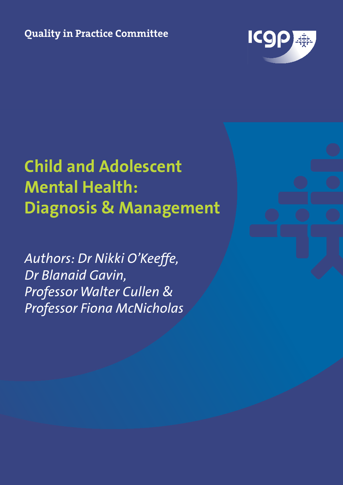**Quality in Practice Committee**



# **Child and Adolescent Mental Health: Diagnosis & Management**

*Authors: Dr Nikki O'Keeffe, Dr Blanaid Gavin, Professor Walter Cullen & Professor Fiona McNicholas*

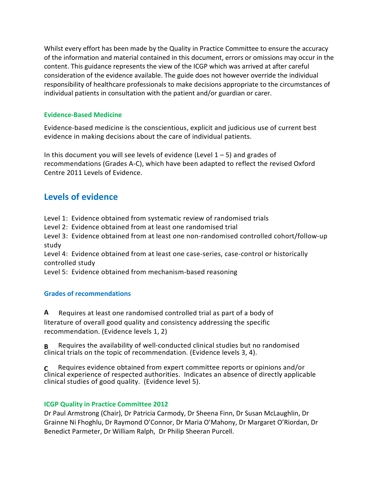Whilst every effort has been made by the Quality in Practice Committee to ensure the accuracy of the information and material contained in this document, errors or omissions may occur in the content. This guidance represents the view of the ICGP which was arrived at after careful consideration of the evidence available. The guide does not however override the individual responsibility of healthcare professionals to make decisions appropriate to the circumstances of individual patients in consultation with the patient and/or guardian or carer.

#### **Evidence-Based Medicine**

Evidence-based medicine is the conscientious, explicit and judicious use of current best evidence in making decisions about the care of individual patients.

In this document you will see levels of evidence (Level  $1 - 5$ ) and grades of recommendations (Grades A-C), which have been adapted to reflect the revised Oxford Centre 2011 Levels of Evidence.

# **Levels of evidence**

Level 1: Evidence obtained from systematic review of randomised trials Level 2: Evidence obtained from at least one randomised trial Level 3: Evidence obtained from at least one non-randomised controlled cohort/follow-up study Level 4: Evidence obtained from at least one case-series, case-control or historically controlled study Level 5: Evidence obtained from mechanism-based reasoning

#### **Grades of recommendations**

**A** Requires at least one randomised controlled trial as part of a body of literature of overall good quality and consistency addressing the specific recommendation. (Evidence levels 1, 2)

**B** Requires the availability of well-conducted clinical studies but no randomised clinical trials on the topic of recommendation. (Evidence levels 3, 4).

**C** Requires evidence obtained from expert committee reports or opinions and/or clinical experience of respected authorities. Indicates an absence of directly applicable clinical studies of good quality. (Evidence level 5).

#### **ICGP Quality in Practice Committee 2012**

Dr Paul Armstrong (Chair), Dr Patricia Carmody, Dr Sheena Finn, Dr Susan McLaughlin, Dr Grainne Ni Fhoghlu, Dr Raymond O'Connor, Dr Maria O'Mahony, Dr Margaret O'Riordan, Dr Benedict Parmeter, Dr William Ralph, Dr Philip Sheeran Purcell.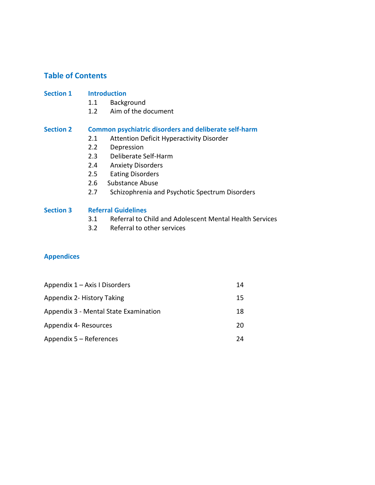# **Table of Contents**

#### **Section 1 Introduction**

- 1.1 Background
- 1.2 Aim of the document

#### **Section 2 Common psychiatric disorders and deliberate self-harm**

- 2.1 Attention Deficit Hyperactivity Disorder
- 2.2 Depression
- 2.3 Deliberate Self-Harm
- 2.4 Anxiety Disorders
- 2.5 Eating Disorders
- 2.6 Substance Abuse
- 2.7 Schizophrenia and Psychotic Spectrum Disorders

#### **Section 3 Referral Guidelines**

- 3.1 Referral to Child and Adolescent Mental Health Services
- 3.2 Referral to other services

#### **Appendices**

| Appendix 1 - Axis I Disorders         | 14 |
|---------------------------------------|----|
| Appendix 2- History Taking            | 15 |
| Appendix 3 - Mental State Examination | 18 |
| Appendix 4- Resources                 | 20 |
| Appendix 5 – References               | 74 |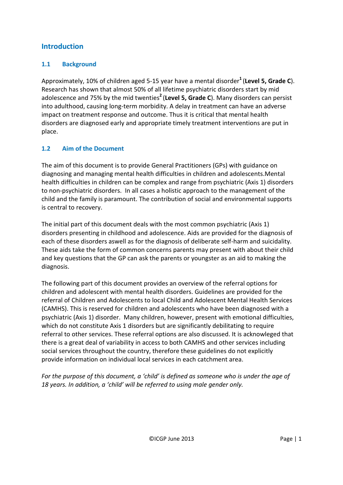# **Introduction**

# **1.1 Background**

Approximately, 10% of children aged 5-15 year have a mental disorder**<sup>1</sup>** (**Level 5, Grade C**). Research has shown that almost 50% of all lifetime psychiatric disorders start by mid adolescence and 75% by the mid twenties**<sup>2</sup>** (**Level 5, Grade C**). Many disorders can persist into adulthood, causing long-term morbidity. A delay in treatment can have an adverse impact on treatment response and outcome. Thus it is critical that mental health disorders are diagnosed early and appropriate timely treatment interventions are put in place.

# **1.2 Aim of the Document**

The aim of this document is to provide General Practitioners (GPs) with guidance on diagnosing and managing mental health difficulties in children and adolescents.Mental health difficulties in children can be complex and range from psychiatric (Axis 1) disorders to non-psychiatric disorders. In all cases a holistic approach to the management of the child and the family is paramount. The contribution of social and environmental supports is central to recovery.

The initial part of this document deals with the most common psychiatric (Axis 1) disorders presenting in childhood and adolescence. Aids are provided for the diagnosis of each of these disorders aswell as for the diagnosis of deliberate self-harm and suicidality. These aids take the form of common concerns parents may present with about their child and key questions that the GP can ask the parents or youngster as an aid to making the diagnosis.

The following part of this document provides an overview of the referral options for children and adolescent with mental health disorders. Guidelines are provided for the referral of Children and Adolescents to local Child and Adolescent Mental Health Services (CAMHS). This is reserved for children and adolescents who have been diagnosed with a psychiatric (Axis 1) disorder. Many children, however, present with emotional difficulties, which do not constitute Axis 1 disorders but are significantly debilitating to require referral to other services. These referral options are also discussed. It is acknowleged that there is a great deal of variability in access to both CAMHS and other services including social services throughout the country, therefore these guidelines do not explicitly provide information on individual local services in each catchment area.

*For the purpose of this document, a 'child' is defined as someone who is under the age of 18 years. In addition, a 'child' will be referred to using male gender only.*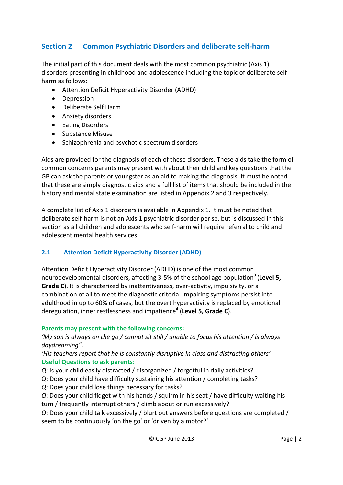# **Section 2 Common Psychiatric Disorders and deliberate self-harm**

The initial part of this document deals with the most common psychiatric (Axis 1) disorders presenting in childhood and adolescence including the topic of deliberate selfharm as follows:

- Attention Deficit Hyperactivity Disorder (ADHD)
- Depression
- Deliberate Self Harm
- Anxiety disorders
- Eating Disorders
- Substance Misuse
- Schizophrenia and psychotic spectrum disorders

Aids are provided for the diagnosis of each of these disorders. These aids take the form of common concerns parents may present with about their child and key questions that the GP can ask the parents or youngster as an aid to making the diagnosis. It must be noted that these are simply diagnostic aids and a full list of items that should be included in the history and mental state examination are listed in Appendix 2 and 3 respectively.

A complete list of Axis 1 disorders is available in Appendix 1. It must be noted that deliberate self-harm is not an Axis 1 psychiatric disorder per se, but is discussed in this section as all children and adolescents who self-harm will require referral to child and adolescent mental health services.

#### **2.1 Attention Deficit Hyperactivity Disorder (ADHD)**

Attention Deficit Hyperactivity Disorder (ADHD) is one of the most common neurodevelopmental disorders, affecting 3-5% of the school age population**<sup>3</sup>** (**Level 5, Grade C**). It is characterized by inattentiveness, over-activity, impulsivity, or a combination of all to meet the diagnostic criteria. Impairing symptoms persist into adulthood in up to 60% of cases, but the overt hyperactivity is replaced by emotional deregulation, inner restlessness and impatience**<sup>4</sup>** (**Level 5, Grade C**).

#### **Parents may present with the following concerns:**

*'My son is always on the go / cannot sit still / unable to focus his attention / is always daydreaming".* 

*'His teachers report that he is constantly disruptive in class and distracting others'* **Useful Questions to ask parents**:

*Q*: Is your child easily distracted / disorganized / forgetful in daily activities?

Q: Does your child have difficulty sustaining his attention / completing tasks?

*Q*: Does your child lose things necessary for tasks?

*Q*: Does your child fidget with his hands / squirm in his seat / have difficulty waiting his turn / frequently interrupt others / climb about or run excessively?

*Q*: Does your child talk excessively / blurt out answers before questions are completed / seem to be continuously 'on the go' or 'driven by a motor?'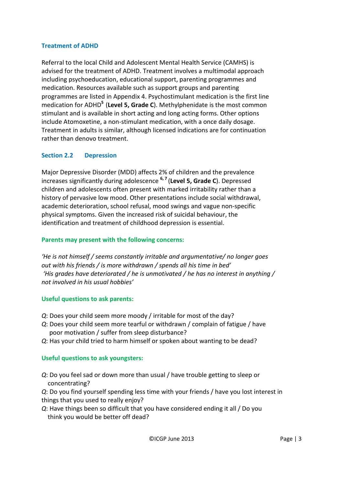#### **Treatment of ADHD**

Referral to the local Child and Adolescent Mental Health Service (CAMHS) is advised for the treatment of ADHD. Treatment involves a multimodal approach including psychoeducation, educational support, parenting programmes and medication. Resources available such as support groups and parenting programmes are listed in Appendix 4. Psychostimulant medication is the first line medication for ADHD**<sup>5</sup>** (**Level 5, Grade C**). Methylphenidate is the most common stimulant and is available in short acting and long acting forms. Other options include Atomoxetine, a non-stimulant medication, with a once daily dosage. Treatment in adults is similar, although licensed indications are for continuation rather than denovo treatment.

# **Section 2.2 Depression**

Major Depressive Disorder (MDD) affects 2% of children and the prevalence increases significantly during adolescence **6, <sup>7</sup>** (**Level 5, Grade C**). Depressed children and adolescents often present with marked irritability rather than a history of pervasive low mood. Other presentations include social withdrawal, academic deterioration, school refusal, mood swings and vague non-specific physical symptoms. Given the increased risk of suicidal behaviour, the identification and treatment of childhood depression is essential.

#### **Parents may present with the following concerns:**

*'He is not himself / seems constantly irritable and argumentative/ no longer goes out with his friends / is more withdrawn / spends all his time in bed' 'His grades have deteriorated / he is unmotivated / he has no interest in anything / not involved in his usual hobbies'*

#### **Useful questions to ask parents:**

- *Q*: Does your child seem more moody / irritable for most of the day?
- *Q*: Does your child seem more tearful or withdrawn / complain of fatigue / have poor motivation / suffer from sleep disturbance?
- *Q*: Has your child tried to harm himself or spoken about wanting to be dead?

#### **Useful questions to ask youngsters:**

- *Q*: Do you feel sad or down more than usual / have trouble getting to sleep or concentrating?
- *Q*: Do you find yourself spending less time with your friends / have you lost interest in things that you used to really enjoy?
- *Q*: Have things been so difficult that you have considered ending it all / Do you think you would be better off dead?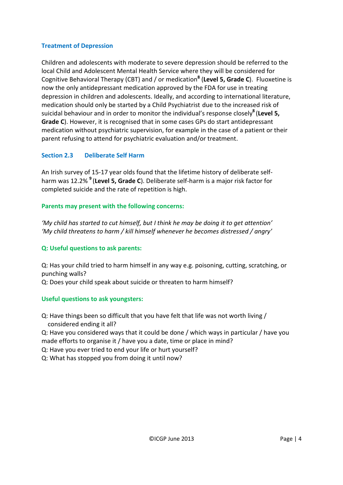# **Treatment of Depression**

Children and adolescents with moderate to severe depression should be referred to the local Child and Adolescent Mental Health Service where they will be considered for Cognitive Behavioral Therapy (CBT) and / or medication**<sup>8</sup>** (**Level 5, Grade C**). Fluoxetine is now the only antidepressant medication approved by the FDA for use in treating depression in children and adolescents. Ideally, and according to international literature, medication should only be started by a Child Psychiatrist due to the increased risk of suicidal behaviour and in order to monitor the individual's response closely**<sup>8</sup>** (**Level 5, Grade C**). However, it is recognised that in some cases GPs do start antidepressant medication without psychiatric supervision, for example in the case of a patient or their parent refusing to attend for psychiatric evaluation and/or treatment.

# **Section 2.3 Deliberate Self Harm**

An Irish survey of 15-17 year olds found that the lifetime history of deliberate selfharm was 12.2% **<sup>9</sup>** (**Level 5, Grade C**). Deliberate self-harm is a major risk factor for completed suicide and the rate of repetition is high.

# **Parents may present with the following concerns:**

*'My child has started to cut himself, but I think he may be doing it to get attention' 'My child threatens to harm / kill himself whenever he becomes distressed / angry'*

# **Q: Useful questions to ask parents:**

Q: Has your child tried to harm himself in any way e.g. poisoning, cutting, scratching, or punching walls?

Q: Does your child speak about suicide or threaten to harm himself?

# **Useful questions to ask youngsters:**

Q: Have things been so difficult that you have felt that life was not worth living / considered ending it all?

Q: Have you considered ways that it could be done / which ways in particular / have you made efforts to organise it / have you a date, time or place in mind?

Q: Have you ever tried to end your life or hurt yourself?

Q: What has stopped you from doing it until now?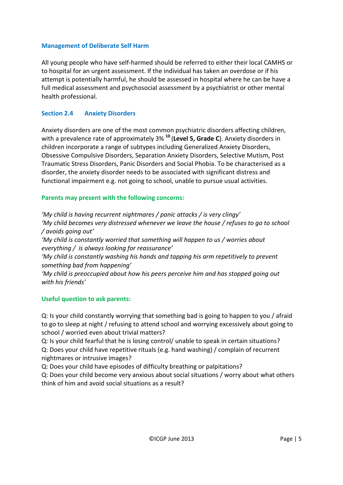#### **Management of Deliberate Self Harm**

All young people who have self-harmed should be referred to either their local CAMHS or to hospital for an urgent assessment. If the individual has taken an overdose or if his attempt is potentially harmful, he should be assessed in hospital where he can be have a full medical assessment and psychosocial assessment by a psychiatrist or other mental health professional.

#### **Section 2.4 Anxiety Disorders**

Anxiety disorders are one of the most common psychiatric disorders affecting children, with a prevalence rate of approximately 3% **<sup>10</sup>** (**Level 5, Grade C**). Anxiety disorders in children incorporate a range of subtypes including Generalized Anxiety Disorders, Obsessive Compulsive Disorders, Separation Anxiety Disorders, Selective Mutism, Post Traumatic Stress Disorders, Panic Disorders and Social Phobia. To be characterised as a disorder, the anxiety disorder needs to be associated with significant distress and functional impairment e.g. not going to school, unable to pursue usual activities.

#### **Parents may present with the following concerns:**

*'My child is having recurrent nightmares / panic attacks / is very clingy' 'My child becomes very distressed whenever we leave the house / refuses to go to school / avoids going out' 'My child is constantly worried that something will happen to us / worries about everything / is always looking for reassurance' 'My child is constantly washing his hands and tapping his arm repetitively to prevent something bad from happening' 'My child is preoccupied about how his peers perceive him and has stopped going out with his friends'*

#### **Useful question to ask parents:**

Q: Is your child constantly worrying that something bad is going to happen to you / afraid to go to sleep at night / refusing to attend school and worrying excessively about going to school / worried even about trivial matters?

Q: Is your child fearful that he is losing control/ unable to speak in certain situations? Q: Does your child have repetitive rituals (e.g. hand washing) / complain of recurrent nightmares or intrusive images?

Q: Does your child have episodes of difficulty breathing or palpitations?

Q: Does your child become very anxious about social situations / worry about what others think of him and avoid social situations as a result?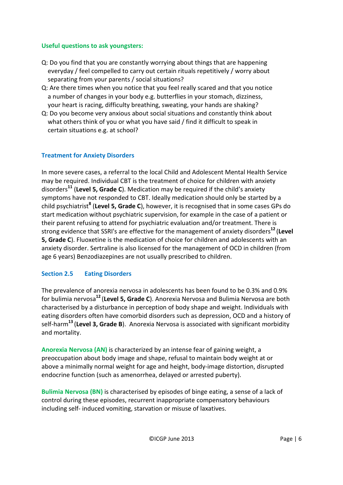#### **Useful questions to ask youngsters:**

- Q: Do you find that you are constantly worrying about things that are happening everyday / feel compelled to carry out certain rituals repetitively / worry about separating from your parents / social situations?
- Q: Are there times when you notice that you feel really scared and that you notice a number of changes in your body e.g. butterflies in your stomach, dizziness, your heart is racing, difficulty breathing, sweating, your hands are shaking?
- Q: Do you become very anxious about social situations and constantly think about what others think of you or what you have said / find it difficult to speak in certain situations e.g. at school?

# **Treatment for Anxiety Disorders**

In more severe cases, a referral to the local Child and Adolescent Mental Health Service may be required. Individual CBT is the treatment of choice for children with anxiety disorders**<sup>11</sup>** (**Level 5, Grade C**). Medication may be required if the child's anxiety symptoms have not responded to CBT. Ideally medication should only be started by a child psychiatrist**<sup>8</sup>** (**Level 5, Grade C**), however, it is recognised that in some cases GPs do start medication without psychiatric supervision, for example in the case of a patient or their parent refusing to attend for psychiatric evaluation and/or treatment. There is strong evidence that SSRI's are effective for the management of anxiety disorders**<sup>12</sup>** (**Level 5, Grade C**). Fluoxetine is the medication of choice for children and adolescents with an anxiety disorder. Sertraline is also licensed for the management of OCD in children (from age 6 years) Benzodiazepines are not usually prescribed to children.

# **Section 2.5 Eating Disorders**

The prevalence of anorexia nervosa in adolescents has been found to be 0.3% and 0.9% for bulimia nervosa**<sup>12</sup>**(**Level 5, Grade C**). Anorexia Nervosa and Bulimia Nervosa are both characterised by a disturbance in perception of body shape and weight. Individuals with eating disorders often have comorbid disorders such as depression, OCD and a history of self-harm**<sup>13</sup>**(**Level 3, Grade B**). Anorexia Nervosa is associated with significant morbidity and mortality.

**Anorexia Nervosa (AN)** is characterized by an intense fear of gaining weight, a preoccupation about body image and shape, refusal to maintain body weight at or above a minimally normal weight for age and height, body-image distortion, disrupted endocrine function (such as amenorrhea, delayed or arrested puberty).

**Bulimia Nervosa (BN)** is characterised by episodes of binge eating, a sense of a lack of control during these episodes, recurrent inappropriate compensatory behaviours including self- induced vomiting, starvation or misuse of laxatives.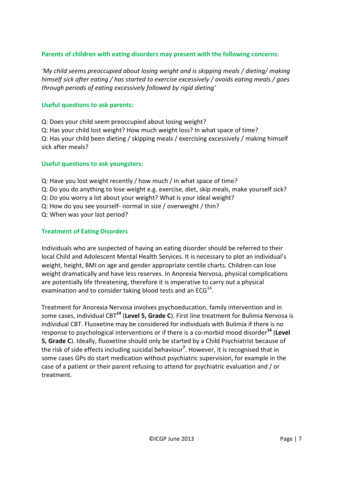# **Parents of children with eating disorders may present with the following concerns:**

*'My child seems preoccupied about losing weight and is skipping meals / dieting/ making himself sick after eating / has started to exercise excessively / avoids eating meals / goes through periods of eating excessively followed by rigid dieting'*

#### **Useful questions to ask parents:**

Q: Does your child seem preoccupied about losing weight? Q: Has your child lost weight? How much weight loss? In what space of time? Q: Has your child been dieting / skipping meals / exercising excessively / making himself sick after meals?

#### **Useful questions to ask youngsters:**

Q: Have you lost weight recently / how much / in what space of time?

- Q: Do you do anything to lose weight e.g. exercise, diet, skip meals, make yourself sick?
- Q: Do you worry a lot about your weight? What is your ideal weight?
- Q: How do you see yourself- normal in size / overweight / thin?
- Q: When was your last period?

#### **Treatment of Eating Disorders**

Individuals who are suspected of having an eating disorder should be referred to their local Child and Adolescent Mental Health Services. It is necessary to plot an individual's weight, height, BMI on age and gender appropriate centile charts. Children can lose weight dramatically and have less reserves. In Anorexia Nervosa, physical complications are potentially life threatening, therefore it is imperative to carry out a physical examination and to consider taking blood tests and an  $ECG<sup>14</sup>$ .

Treatment for Anorexia Nervosa involves psychoeducation, family intervention and in some cases, individual CBT**<sup>14</sup>** (**Level 5, Grade C**). First line treatment for Bulimia Nervosa is individual CBT. Fluoxetine may be considered for individuals with Bulimia if there is no response to psychological interventions or if there is a co-morbid mood disorder**<sup>14</sup>** (**Level 5, Grade C**). Ideally, fluoxetine should only be started by a Child Psychiatrist because of the risk of side effects including suicidal behaviour**<sup>7</sup>** . However, it is recognised that in some cases GPs do start medication without psychiatric supervision, for example in the case of a patient or their parent refusing to attend for psychiatric evaluation and / or treatment.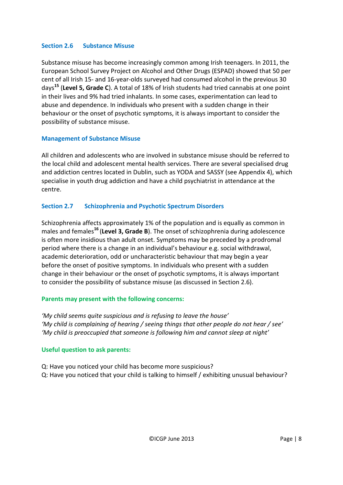#### **Section 2.6 Substance Misuse**

Substance misuse has become increasingly common among Irish teenagers. In 2011, the European School Survey Project on Alcohol and Other Drugs (ESPAD) showed that 50 per cent of all Irish 15- and 16-year-olds surveyed had consumed alcohol in the previous 30 days**<sup>15</sup>** (**Level 5, Grade C**). A total of 18% of Irish students had tried cannabis at one point in their lives and 9% had tried inhalants. In some cases, experimentation can lead to abuse and dependence. In individuals who present with a sudden change in their behaviour or the onset of psychotic symptoms, it is always important to consider the possibility of substance misuse.

#### **Management of Substance Misuse**

All children and adolescents who are involved in substance misuse should be referred to the local child and adolescent mental health services. There are several specialised drug and addiction centres located in Dublin, such as YODA and SASSY (see Appendix 4), which specialise in youth drug addiction and have a child psychiatrist in attendance at the centre.

# **Section 2.7 Schizophrenia and Psychotic Spectrum Disorders**

Schizophrenia affects approximately 1% of the population and is equally as common in males and females**<sup>16</sup>** (**Level 3, Grade B**). The onset of schizophrenia during adolescence is often more insidious than adult onset. Symptoms may be preceded by a prodromal period where there is a change in an individual's behaviour e.g. social withdrawal, academic deterioration, odd or uncharacteristic behaviour that may begin a year before the onset of positive symptoms. In individuals who present with a sudden change in their behaviour or the onset of psychotic symptoms, it is always important to consider the possibility of substance misuse (as discussed in Section 2.6).

# **Parents may present with the following concerns:**

*'My child seems quite suspicious and is refusing to leave the house' 'My child is complaining of hearing / seeing things that other people do not hear / see' 'My child is preoccupied that someone is following him and cannot sleep at night'*

#### **Useful question to ask parents:**

Q: Have you noticed your child has become more suspicious? Q: Have you noticed that your child is talking to himself / exhibiting unusual behaviour?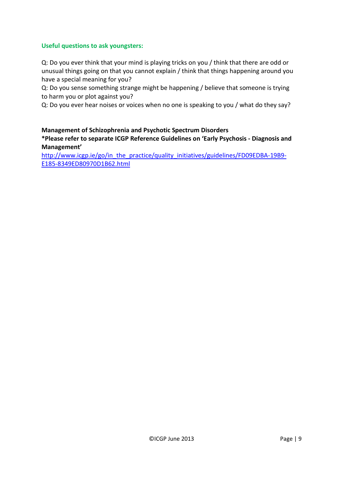#### **Useful questions to ask youngsters:**

Q: Do you ever think that your mind is playing tricks on you / think that there are odd or unusual things going on that you cannot explain / think that things happening around you have a special meaning for you?

Q: Do you sense something strange might be happening / believe that someone is trying to harm you or plot against you?

Q: Do you ever hear noises or voices when no one is speaking to you / what do they say?

# **Management of Schizophrenia and Psychotic Spectrum Disorders**

**\*Please refer to separate ICGP Reference Guidelines on 'Early Psychosis - Diagnosis and Management'**

[http://www.icgp.ie/go/in\\_the\\_practice/quality\\_initiatives/guidelines/FD09EDBA-19B9-](http://www.icgp.ie/go/in_the_practice/quality_initiatives/guidelines/FD09EDBA-19B9-E185-8349ED80970D1B62.html) [E185-8349ED80970D1B62.html](http://www.icgp.ie/go/in_the_practice/quality_initiatives/guidelines/FD09EDBA-19B9-E185-8349ED80970D1B62.html)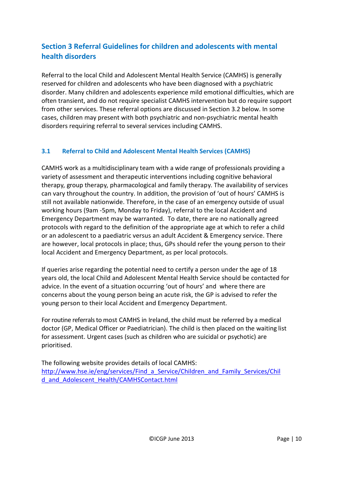# **Section 3 Referral Guidelines for children and adolescents with mental health disorders**

Referral to the local Child and Adolescent Mental Health Service (CAMHS) is generally reserved for children and adolescents who have been diagnosed with a psychiatric disorder. Many children and adolescents experience mild emotional difficulties, which are often transient, and do not require specialist CAMHS intervention but do require support from other services. These referral options are discussed in Section 3.2 below. In some cases, children may present with both psychiatric and non-psychiatric mental health disorders requiring referral to several services including CAMHS.

# **3.1 Referral to Child and Adolescent Mental Health Services (CAMHS)**

CAMHS work as a multidisciplinary team with a wide range of professionals providing a variety of assessment and therapeutic interventions including cognitive behavioral therapy, group therapy, pharmacological and family therapy. The availability of services can vary throughout the country. In addition, the provision of 'out of hours' CAMHS is still not available nationwide. Therefore, in the case of an emergency outside of usual working hours (9am -5pm, Monday to Friday), referral to the local Accident and Emergency Department may be warranted. To date, there are no nationally agreed protocols with regard to the definition of the appropriate age at which to refer a child or an adolescent to a paediatric versus an adult Accident & Emergency service. There are however, local protocols in place; thus, GPs should refer the young person to their local Accident and Emergency Department, as per local protocols.

If queries arise regarding the potential need to certify a person under the age of 18 years old, the local Child and Adolescent Mental Health Service should be contacted for advice. In the event of a situation occurring 'out of hours' and where there are concerns about the young person being an acute risk, the GP is advised to refer the young person to their local Accident and Emergency Department.

For routine referrals to most CAMHS in Ireland, the child must be referred by a medical doctor (GP, Medical Officer or Paediatrician). The child is then placed on the waiting list for assessment. Urgent cases (such as children who are suicidal or psychotic) are prioritised.

The following website provides details of local CAMHS: [http://www.hse.ie/eng/services/Find\\_a\\_Service/Children\\_and\\_Family\\_Services/Chil](http://www.hse.ie/eng/services/Find_a_Service/Children_and_Family_Services/Child_and_Adolescent_Health/CAMHSContact.html) [d\\_and\\_Adolescent\\_Health/CAMHSContact.html](http://www.hse.ie/eng/services/Find_a_Service/Children_and_Family_Services/Child_and_Adolescent_Health/CAMHSContact.html)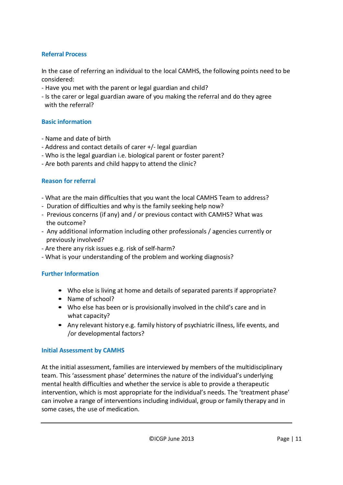# **Referral Process**

In the case of referring an individual to the local CAMHS, the following points need to be considered:

- Have you met with the parent or legal guardian and child?
- Is the carer or legal guardian aware of you making the referral and do they agree with the referral?

#### **Basic information**

- Name and date of birth
- Address and contact details of carer +/- legal guardian
- Who is the legal guardian i.e. biological parent or foster parent?
- Are both parents and child happy to attend the clinic?

# **Reason for referral**

- What are the main difficulties that you want the local CAMHS Team to address?
- Duration of difficulties and why is the family seeking help now?
- Previous concerns (if any) and / or previous contact with CAMHS? What was the outcome?
- Any additional information including other professionals / agencies currently or previously involved?
- Are there any risk issues e.g. risk of self-harm?
- What is your understanding of the problem and working diagnosis?

#### **Further Information**

- Who else is living at home and details of separated parents if appropriate?
- Name of school?
- Who else has been or is provisionally involved in the child's care and in what capacity?
- Any relevant history e.g. family history of psychiatric illness, life events, and /or developmental factors?

#### **Initial Assessment by CAMHS**

At the initial assessment, families are interviewed by members of the multidisciplinary team. This 'assessment phase' determines the nature of the individual's underlying mental health difficulties and whether the service is able to provide a therapeutic intervention, which is most appropriate for the individual's needs. The 'treatment phase' can involve a range of interventions including individual, group or family therapy and in some cases, the use of medication.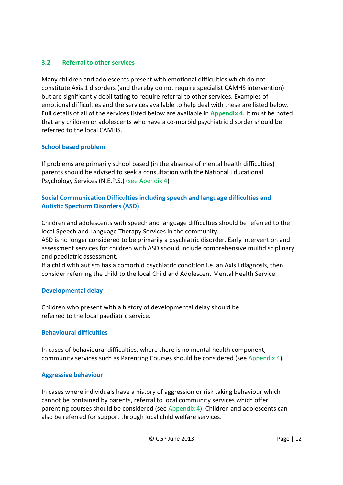# **3.2 Referral to other services**

Many children and adolescents present with emotional difficulties which do not constitute Axis 1 disorders (and thereby do not require specialist CAMHS intervention) but are significantly debilitating to require referral to other services. Examples of emotional difficulties and the services available to help deal with these are listed below. Full details of all of the services listed below are available in **Appendix 4**. It must be noted that any children or adolescents who have a co-morbid psychiatric disorder should be referred to the local CAMHS.

#### **School based problem**:

If problems are primarily school based (in the absence of mental health difficulties) parents should be advised to seek a consultation with the National Educational Psychology Services (N.E.P.S.) (see Apendix 4)

# **Social Communication Difficulties including speech and language difficulties and Autistic Specturm Disorders (ASD)**

Children and adolescents with speech and language difficulties should be referred to the local Speech and Language Therapy Services in the community.

ASD is no longer considered to be primarily a psychiatric disorder. Early intervention and assessment services for children with ASD should include comprehensive multidisciplinary and paediatric assessment.

If a child with autism has a comorbid psychiatric condition i.e. an Axis I diagnosis, then consider referring the child to the local Child and Adolescent Mental Health Service.

#### **Developmental delay**

Children who present with a history of developmental delay should be referred to the local paediatric service.

#### **Behavioural difficulties**

In cases of behavioural difficulties, where there is no mental health component, community services such as Parenting Courses should be considered (see Appendix 4).

#### **Aggressive behaviour**

In cases where individuals have a history of aggression or risk taking behaviour which cannot be contained by parents, referral to local community services which offer parenting courses should be considered (see Appendix 4). Children and adolescents can also be referred for support through local child welfare services.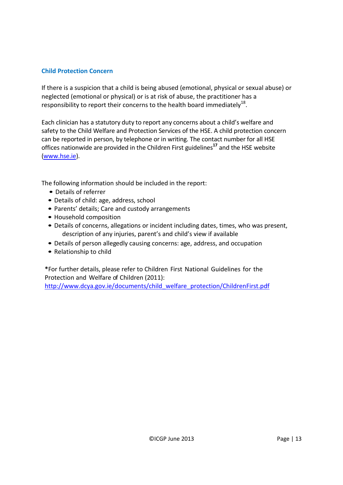#### **Child Protection Concern**

If there is a suspicion that a child is being abused (emotional, physical or sexual abuse) or neglected (emotional or physical) or is at risk of abuse, the practitioner has a responsibility to report their concerns to the health board immediately<sup>18</sup>.

Each clinician has a statutory duty to report any concerns about a child's welfare and safety to the Child Welfare and Protection Services of the HSE. A child protection concern can be reported in person, by telephone or in writing. The contact number for all HSE offices nationwide are provided in the Children First guidelines **<sup>17</sup>** and the HSE website [\(www.hse.ie\)](http://www.hse.ie/).

The following information should be included in the report:

- Details of referrer
- Details of child: age, address, school
- Parents' details; Care and custody arrangements
- Household composition
- Details of concerns, allegations or incident including dates, times, who was present, description of any injuries, parent's and child's view if available
- Details of person allegedly causing concerns: age, address, and occupation
- Relationship to child

**\***For further details, please refer to Children First National Guidelines for the Protection and Welfare of Children (2011):

[http://www.dcya.gov.ie/documents/child\\_welfare\\_protection/ChildrenFirst.pdf](http://www.dcya.gov.ie/documents/child_welfare_protection/ChildrenFirst.pdf)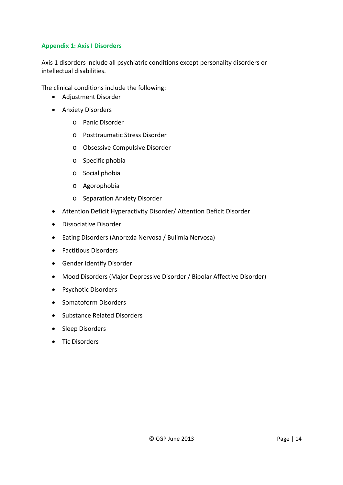# **Appendix 1: Axis I Disorders**

Axis 1 disorders include all psychiatric conditions except personality disorders or intellectual disabilities.

The clinical conditions include the following:

- Adjustment Disorder
- Anxiety Disorders
	- o Panic Disorder
	- o Posttraumatic Stress Disorder
	- o Obsessive Compulsive Disorder
	- o Specific phobia
	- o Social phobia
	- o Agorophobia
	- o Separation Anxiety Disorder
- Attention Deficit Hyperactivity Disorder/ Attention Deficit Disorder
- Dissociative Disorder
- Eating Disorders (Anorexia Nervosa / Bulimia Nervosa)
- Factitious Disorders
- Gender Identify Disorder
- Mood Disorders (Major Depressive Disorder / Bipolar Affective Disorder)
- Psychotic Disorders
- Somatoform Disorders
- Substance Related Disorders
- Sleep Disorders
- Tic Disorders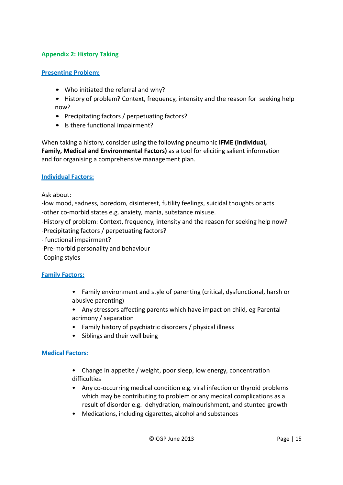# **Appendix 2: History Taking**

#### **Presenting Problem:**

- Who initiated the referral and why?
- History of problem? Context, frequency, intensity and the reason for seeking help now?
- Precipitating factors / perpetuating factors?
- Is there functional impairment?

When taking a history, consider using the following pneumonic **IFME (Individual, Family, Medical and Environmental Factors)** as a tool for eliciting salient information and for organising a comprehensive management plan.

#### **Individual Factors:**

Ask about:

-low mood, sadness, boredom, disinterest, futility feelings, suicidal thoughts or acts -other co-morbid states e.g. anxiety, mania, substance misuse.

-History of problem: Context, frequency, intensity and the reason for seeking help now?

- -Precipitating factors / perpetuating factors?
- functional impairment?
- -Pre-morbid personality and behaviour

-Coping styles

#### **Family Factors:**

- Family environment and style of parenting (critical, dysfunctional, harsh or abusive parenting)
- Any stressors affecting parents which have impact on child, eg Parental acrimony / separation
- Family history of psychiatric disorders / physical illness
- Siblings and their well being

#### **Medical Factors**:

- Change in appetite / weight, poor sleep, low energy, concentration difficulties
- Any co-occurring medical condition e.g. viral infection or thyroid problems which may be contributing to problem or any medical complications as a result of disorder e.g. dehydration, malnourishment, and stunted growth
- Medications, including cigarettes, alcohol and substances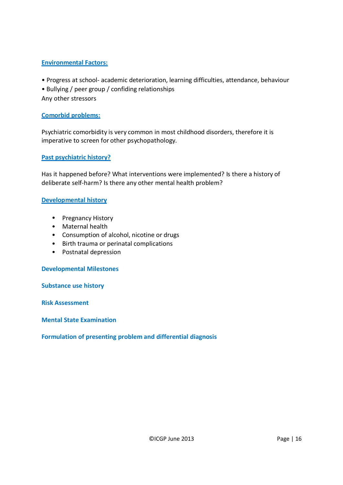# **Environmental Factors:**

- Progress at school- academic deterioration, learning difficulties, attendance, behaviour
- Bullying / peer group / confiding relationships
- Any other stressors

#### **Comorbid problems:**

Psychiatric comorbidity is very common in most childhood disorders, therefore it is imperative to screen for other psychopathology.

#### **Past psychiatric history?**

Has it happened before? What interventions were implemented? Is there a history of deliberate self-harm? Is there any other mental health problem?

#### **Developmental history**

- Pregnancy History
- Maternal health
- Consumption of alcohol, nicotine or drugs
- Birth trauma or perinatal complications
- Postnatal depression

#### **Developmental Milestones**

**Substance use history**

**Risk Assessment**

**Mental State Examination**

#### **Formulation of presenting problem and differential diagnosis**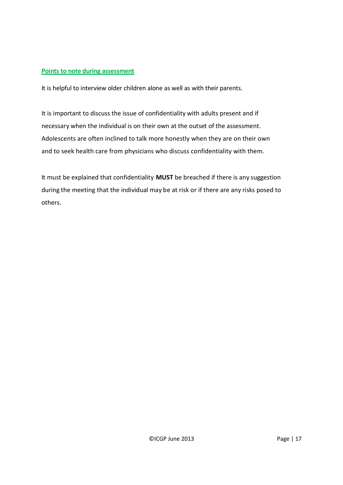#### **Points to note during assessment**

It is helpful to interview older children alone as well as with their parents.

It is important to discuss the issue of confidentiality with adults present and if necessary when the individual is on their own at the outset of the assessment. Adolescents are often inclined to talk more honestly when they are on their own and to seek health care from physicians who discuss confidentiality with them.

It must be explained that confidentiality **MUST** be breached if there is any suggestion during the meeting that the individual may be at risk or if there are any risks posed to others.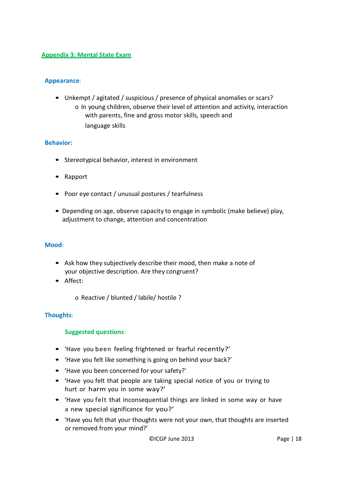#### **Appendix 3: Mental State Exam**

#### **Appearance**:

• Unkempt / agitated / suspicious / presence of physical anomalies or scars? o In young children, observe their level of attention and activity, interaction with parents, fine and gross motor skills, speech and language skills

#### **Behavior:**

- Stereotypical behavior, interest in environment
- Rapport
- Poor eye contact / unusual postures / tearfulness
- Depending on age, observe capacity to engage in symbolic (make believe) play, adjustment to change, attention and concentration

#### **Mood**:

- Ask how they subjectively describe their mood, then make a note of your objective description. Are they congruent?
- Affect:
	- o Reactive / blunted / labile/ hostile ?

#### **Thoughts**:

#### **Suggested questions**:

- 'Have you been feeling frightened or fearful recently?'
- 'Have you felt like something is going on behind your back?'
- 'Have you been concerned for your safety?'
- 'Have you felt that people are taking special notice of you or trying to hurt or harm you in some way?'
- 'Have you felt that inconsequential things are linked in some way or have a new special significance for you?'
- 'Have you felt that your thoughts were not your own, that thoughts are inserted or removed from your mind?'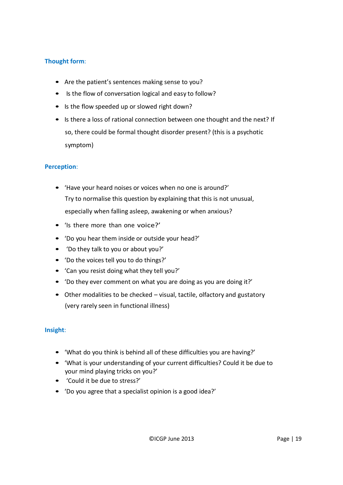# **Thought form**:

- Are the patient's sentences making sense to you?
- Is the flow of conversation logical and easy to follow?
- Is the flow speeded up or slowed right down?
- Is there a loss of rational connection between one thought and the next? If so, there could be formal thought disorder present? (this is a psychotic symptom)

#### **Perception**:

- 'Have your heard noises or voices when no one is around?' Try to normalise this question by explaining that this is not unusual, especially when falling asleep, awakening or when anxious?
- 'Is there more than one voice?'
- 'Do you hear them inside or outside your head?'
- 'Do they talk to you or about you?'
- 'Do the voices tell you to do things?'
- 'Can you resist doing what they tell you?'
- 'Do they ever comment on what you are doing as you are doing it?'
- Other modalities to be checked visual, tactile, olfactory and gustatory (very rarely seen in functional illness)

#### **Insight**:

- 'What do you think is behind all of these difficulties you are having?'
- 'What is your understanding of your current difficulties? Could it be due to your mind playing tricks on you?'
- 'Could it be due to stress?'
- 'Do you agree that a specialist opinion is a good idea?'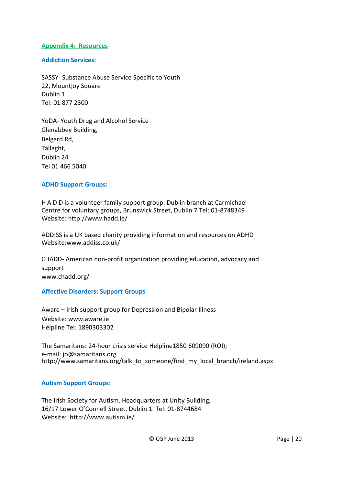#### **Appendix 4: Resources**

**Addiction Services:**

SASSY- Substance Abuse Service Specific to Youth 22, Mountjoy Square Dublin 1 Tel: 01 877 2300

YoDA- Youth Drug and Alcohol Service Glenabbey Building, Belgard Rd, Tallaght, Dublin 24 Tel 01 466 5040

#### **ADHD Support Groups:**

H A D D is a volunteer family support group. Dublin branch at Carmichael Centre for voluntary groups, Brunswick Street, Dublin 7 Tel: 01-8748349 Website: <http://www.hadd.ie/>

ADDISS is a UK based charity providing information and resources on ADHD Website[:www.addiss.co.uk/](http://www.addiss.co.uk/)

CHADD- American non-profit organization providing education, advocacy and support [www.chadd.org/](http://www.chadd.org/)

#### **Affective Disorders: Support Groups**

Aware – Irish support group for Depression and Bipolar Illness Website: [www.aware.ie](http://www.aware.ie/) Helpline Tel: 1890303302

The Samaritans: 24-hour crisis service Helpline1850 609090 (ROI); e-mail: [jo@samaritans.org](mailto:jo@samaritans.org) http://www.samaritans.org/talk\_to\_someone/find\_my\_local\_branch/ireland.aspx

#### **Autism Support Groups:**

The Irish Society for Autism. Headquarters at Unity Building, 16/17 Lower O'Connell Street, Dublin 1. Tel: 01-8744684 Website: <http://www.autism.ie/>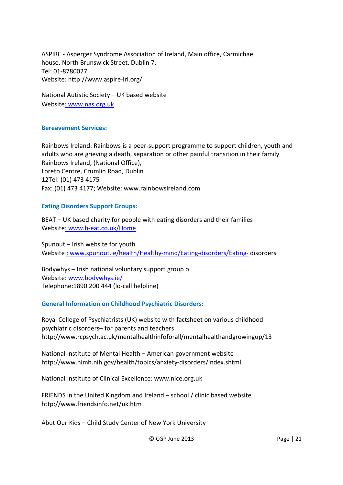ASPIRE - Asperger Syndrome Association of Ireland, Main office, Carmichael house, North Brunswick Street, Dublin 7. Tel: 01-8780027 Website: <http://www.aspire-irl.org/>

National Autistic Society – UK based website Websit[e: www.nas.org.uk](http://:%20www.nas.org.uk)

#### **Bereavement Services:**

Rainbows Ireland: Rainbows is a peer-support programme to support children, youth and adults who are grieving a death, separation or other painful transition in their family Rainbows Ireland, (National Office), Loreto Centre, Crumlin Road, Dublin 12Tel: (01) 473 4175 Fax: (01) 473 4177; Website: [www.rainbowsireland.com](http://www.rainbowsireland.com/)

#### **Eating Disorders Support Groups:**

BEAT – UK based charity for people with eating disorders and their families Websit[e: www.b-eat.co.uk/Home](http://:%20www.b-eat.co.uk/Home)

Spunout – Irish website for youth Website [: www.spunout.ie/health/Healthy-mind/Eating-disorders/Eating-](http://:%20www.spunout.ie/health/Healthy-mind/Eating-disorders/Eating-) disorders

Bodywhys – Irish national voluntary support group o Websit[e: www.bodywhys.ie/](http://:%20www.bodywhys.ie/) Telephone:1890 200 444 (lo-call helpline)

#### **General Information on Childhood Psychiatric Disorders:**

Royal College of Psychiatrists (UK) website with factsheet on various childhood psychiatric disorders– for parents and teacher[s](http://www.rcpsych.ac.uk/mentalhealthinfoforall/mentalhealthandgrowingup/13) <http://www.rcpsych.ac.uk/mentalhealthinfoforall/mentalhealthandgrowingup/13>

National Institute of Mental Health – American government website <http://www.nimh.nih.gov/health/topics/anxiety-disorders/index.shtml>

National Institute of Clinical Excellence: [www.nice.org.uk](http://www.nice.org.uk/)

FRIENDS in the United Kingdom and Ireland – school / clinic based website <http://www.friendsinfo.net/uk.htm>

Abut Our Kids – Child Study Center of New York University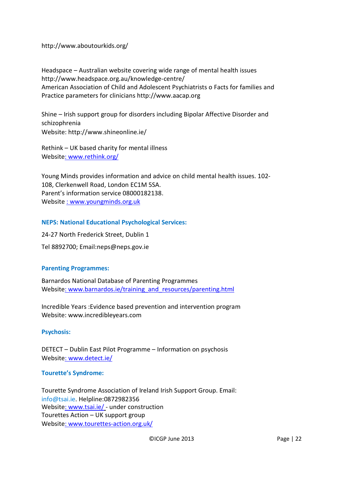<http://www.aboutourkids.org/>

Headspace – Australian website covering wide range of mental health issues <http://www.headspace.org.au/knowledge-centre/> American Association of Child and Adolescent Psychiatrists o Facts for families and Practice parameters for clinicians http:/[/www.aacap.org](http://www.aacap.org/)

Shine – Irish support group for disorders including Bipolar Affective Disorder and schizophrenia Website:<http://www.shineonline.ie/>

Rethink – UK based charity for mental illness Websit[e: www.rethink.org/](http://:%20www.rethink.org/)

Young Minds provides information and advice on child mental health issues. 102- 108, Clerkenwell Road, London EC1M 5SA. Parent's information service 08000182138. Website [: www.youngminds.org.uk](http://:%20www.youngminds.org.uk)

#### **NEPS: National Educational Psychological Services:**

24-27 North Frederick Street, Dublin 1 Tel 8892700; [Email:neps@neps.gov.ie](mailto:Email:neps@neps.gov.ie)

#### **Parenting Programmes:**

Barnardos National Database of Parenting Programmes Websit[e: www.barnardos.ie/training\\_and\\_resources/parenting.html](http://:%20www.barnardos.ie/training_and_resources/parenting.html)

Incredible Years :Evidence based prevention and intervention program Website: [www.incredibleyears.com](http://www.incredibleyears.com/)

**Psychosis:**

DETECT – Dublin East Pilot Programme – Information on psychosis Websit[e: www.detect.ie/](http://:%20www.detect.ie/)

#### **Tourette's Syndrome:**

Tourette Syndrome Association of Ireland Irish Support Group. Email: [info@tsai.ie.](mailto:info@tsai.ie) Helpline:0872982356 Websit[e: www.tsai.ie/](http://:%20www.tsai.ie/) - under construction Tourettes Action – UK support group Websit[e: www.tourettes-action.org.uk/](http://:%20www.tourettes-action.org.uk/)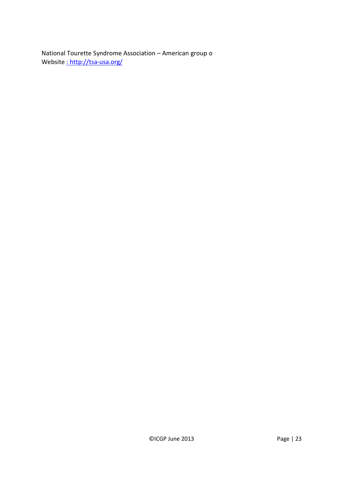National Tourette Syndrome Association – American group o Website : http://tsa-usa.org/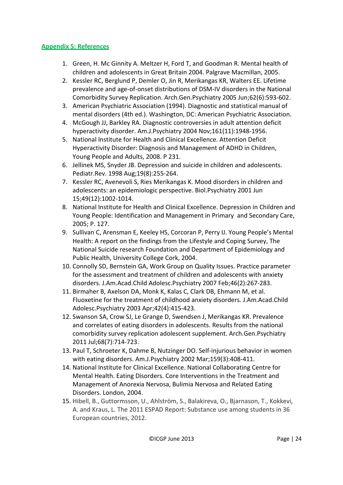#### **Appendix 5: References**

- 1. Green, H. Mc Ginnity A. Meltzer H, Ford T, and Goodman R. Mental health of children and adolescents in Great Britain 2004. Palgrave Macmillan, 2005.
- 2. Kessler RC, Berglund P, Demler O, Jin R, Merikangas KR, Walters EE. Lifetime prevalence and age-of-onset distributions of DSM-IV disorders in the National Comorbidity Survey Replication. Arch.Gen.Psychiatry 2005 Jun;62(6):593-602.
- 3. American Psychiatric Association (1994). Diagnostic and statistical manual of mental disorders (4th ed.). Washington, DC: American Psychiatric Association.
- 4. McGough JJ, Barkley RA. Diagnostic controversies in adult attention deficit hyperactivity disorder. Am.J.Psychiatry 2004 Nov;161(11):1948-1956.
- 5. National Institute for Health and Clinical Excellence. Attention Deficit Hyperactivity Disorder: Diagnosis and Management of ADHD in Children, Young People and Adults, 2008. P 231.
- 6. Jellinek MS, Snyder JB. Depression and suicide in children and adolescents. Pediatr.Rev. 1998 Aug;19(8):255-264.
- 7. Kessler RC, Avenevoli S, Ries Merikangas K. Mood disorders in children and adolescents: an epidemiologic perspective. Biol.Psychiatry 2001 Jun 15;49(12):1002-1014.
- 8. National Institute for Health and Clinical Excellence. Depression in Children and Young People: Identification and Management in Primary and Secondary Care, 2005; P. 127.
- 9. Sullivan C, Arensman E, Keeley HS, Corcoran P, Perry IJ. Young People's Mental Health: A report on the findings from the Lifestyle and Coping Survey, The National Suicide research Foundation and Department of Epidemiology and Public Health, University College Cork, 2004.
- 10. Connolly SD, Bernstein GA, Work Group on Quality Issues. Practice parameter for the assessment and treatment of children and adolescents with anxiety disorders. J.Am.Acad.Child Adolesc.Psychiatry 2007 Feb;46(2):267-283.
- 11. Birmaher B, Axelson DA, Monk K, Kalas C, Clark DB, Ehmann M, et al. Fluoxetine for the treatment of childhood anxiety disorders. J.Am.Acad.Child Adolesc.Psychiatry 2003 Apr;42(4):415-423.
- 12. Swanson SA, Crow SJ, Le Grange D, Swendsen J, Merikangas KR. Prevalence and correlates of eating disorders in adolescents. Results from the national comorbidity survey replication adolescent supplement. Arch.Gen.Psychiatry 2011 Jul;68(7):714-723.
- 13. Paul T, Schroeter K, Dahme B, Nutzinger DO. Self-injurious behavior in women with eating disorders. Am.J.Psychiatry 2002 Mar;159(3):408-411.
- 14. National Institute for Clinical Excellence. National Collaborating Centre for Mental Health. Eating Disorders. Core Interventions in the Treatment and Management of Anorexia Nervosa, Bulimia Nervosa and Related Eating Disorders. London, 2004.
- 15. Hibell, B., Guttormsson, U., Ahlström, S., Balakireva, O., Bjarnason, T., Kokkevi, A. and Kraus, L. The 2011 ESPAD Report: Substance use among students in 36 European countries, 2012.